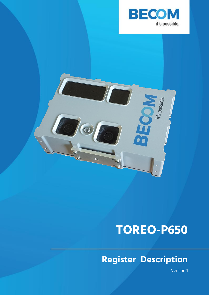



# **TOREO-P650**

## **Register Description**

Version 1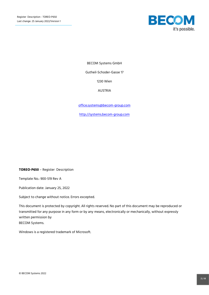

BECOM Systems GmbH

Gutheil-Schoder-Gasse 17

1230 Wien

AUSTRIA

[office.systems@becom-group.com](mailto:office.systems@becom-group.com)

[http://systems.becom-group.com](http://systems.becom-group.com/)

**TOREO-P650** – Register Description

Template No.: 900-519 Rev A

Publication date: January 25, 2022

Subject to change without notice. Errors excepted.

This document is protected by copyright. All rights reserved. No part of this document may be reproduced or transmitted for any purpose in any form or by any means, electronically or mechanically, without expressly written permission by BECOM Systems.

Windows is a registered trademark of Microsoft.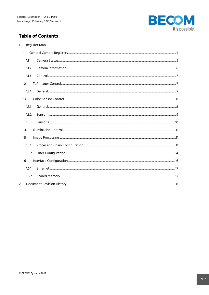

## **Table of Contents**

|   | 1.1   |  |
|---|-------|--|
|   | 1.1.1 |  |
|   | 1.1.2 |  |
|   | 1.1.3 |  |
|   | 1.2   |  |
|   | 1.2.1 |  |
|   | 1.3   |  |
|   | 1.3.1 |  |
|   | 1.3.2 |  |
|   | 1.3.3 |  |
|   | 1.4   |  |
|   | 1.5   |  |
|   | 1.5.1 |  |
|   | 1.5.2 |  |
|   | 1.6   |  |
|   | 1.6.1 |  |
|   | 1.6.2 |  |
| 2 |       |  |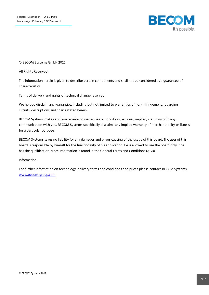

© BECOM Systems GmbH 2022

All Rights Reserved.

The information herein is given to describe certain components and shall not be considered as a guarantee of characteristics.

Terms of delivery and rights of technical change reserved.

We hereby disclaim any warranties, including but not limited to warranties of non-infringement, regarding circuits, descriptions and charts stated herein.

BECOM Systems makes and you receive no warranties or conditions, express, implied, statutory or in any communication with you. BECOM Systems specifically disclaims any implied warranty of merchantability or fitness for a particular purpose.

BECOM Systems takes no liability for any damages and errors causing of the usage of this board. The user of this board is responsible by himself for the functionality of his application. He is allowed to use the board only if he has the qualification. More information is found in the General Terms and Conditions (AGB).

#### Information

For further information on technology, delivery terms and conditions and prices please contact BECOM Systems [www.becom-group.com](http://www.becom-group.com/)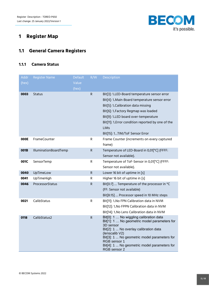

## <span id="page-4-0"></span>**1 Register Map**

## <span id="page-4-1"></span>**1.1 General Camera Registers**

#### <span id="page-4-2"></span>**1.1.1 Camera Status**

| <b>Addr</b><br>(hex) | <b>Register Name</b>         | <b>Default</b><br>Value<br>(hex) | R/W         | Description                                                                                                                                                                                                                                                                                                                  |
|----------------------|------------------------------|----------------------------------|-------------|------------------------------------------------------------------------------------------------------------------------------------------------------------------------------------------------------------------------------------------------------------------------------------------------------------------------------|
| 0003                 | <b>Status</b>                |                                  | $\mathsf R$ | Bit[3]: 1LED-Board temperature sensor error<br>Bit[4]: 1. Main-Board temperature sensor error<br>Bit[5]: 1. Calibration data missing<br>Bit[6]: 1. Factory Regmap was loaded<br>Bit[9]: 1. LED board over-temperature<br>Bit[11]: 1. Error condition reported by one of the<br><b>LIMS</b><br>Bit[15]: 1TIM/ToF Sensor Error |
| 000E                 | <b>FrameCounter</b>          |                                  | R           | Frame Counter (increments on every captured<br>frame)                                                                                                                                                                                                                                                                        |
| 001B                 | <b>IlluminationBoardTemp</b> |                                  | ${\sf R}$   | Temperature of LED-Board in 0,01[°C] (FFFF:<br>Sensor not available).                                                                                                                                                                                                                                                        |
| 001C                 | SensorTemp                   |                                  | ${\sf R}$   | Temperature of ToF-Sensor in 0,01[°C] (FFFF:<br>Sensor not available).                                                                                                                                                                                                                                                       |
| 0040                 | UpTimeLow                    |                                  | R.          | Lower 16 bit of uptime in [s]                                                                                                                                                                                                                                                                                                |
| 0041                 | UpTimeHigh                   |                                  | R           | Higher 16 bit of uptime in [s]                                                                                                                                                                                                                                                                                               |
| 0046                 | ProcessorStatus              |                                  | R           | Bit[0:7]  Temperature of the processor in °C<br>(FF: Sensor not available)<br>Bit[8:15]  Processor speed in 10 MHz steps                                                                                                                                                                                                     |
| 0021                 | CalibStatus                  |                                  | R.          | Bit[11]: 1. No FPN Calibration data in NVM<br>Bit[12]: 1. No FPPN Calibration data in NVM<br>Bit[14]: 1. No Lens Calibration data in NVM                                                                                                                                                                                     |
| 0118                 | CalibStatus2                 |                                  | $\mathsf R$ | Bit[0]: 1  No wiggling calibration data<br>Bit[1]: 1  No geometric model parameters for<br>3D sensor<br>Bit[2]: 1  No overlay calibration data<br>(lenscalib V2)<br>Bit[3]: 1  No geometric model parameters for<br>RGB sensor 1<br>Bit[4]: 1  No geometric model parameters for<br>RGB sensor 2                             |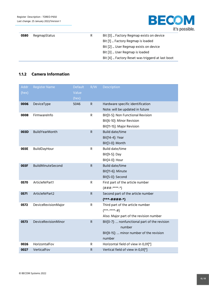

| 0580 | <b>RegmapStatus</b> | R. | Bit [0]  Factory Regmap exists on device         |
|------|---------------------|----|--------------------------------------------------|
|      |                     |    | Bit [1]  Factory Regmap is loaded                |
|      |                     |    | Bit [2]  User Regmap exists on device            |
|      |                     |    | Bit [3]  User Regmap is loaded                   |
|      |                     |    | Bit [4]  Factory Reset was triggerd at last boot |

#### <span id="page-5-0"></span>**1.1.2 Camera Information**

| Addr  | <b>Register Name</b>  | <b>Default</b> | R/W          | Description                                   |
|-------|-----------------------|----------------|--------------|-----------------------------------------------|
| (hex) |                       | Value          |              |                                               |
|       |                       | (hex)          |              |                                               |
| 0006  | DeviceType            | 5046           | ${\sf R}$    | Hardware specific identification              |
|       |                       |                |              | Note: will be updated in future               |
| 0008  | FirmwareInfo          |                | ${\sf R}$    | Bit[0-5]: Non Functional Revision             |
|       |                       |                |              | Bit[6-10]: Minor Revision                     |
|       |                       |                |              | Bit[11-15]: Major Revision                    |
| 003D  | <b>BuildYearMonth</b> |                | $\mathsf{R}$ | Build date/time                               |
|       |                       |                |              | Bit[14-4]: Year                               |
|       |                       |                |              | Bit[3-0]: Month                               |
| 003E  | BuildDayHour          |                | R            | Build date/time                               |
|       |                       |                |              | Bit[9-5]: Day                                 |
|       |                       |                |              | Bit[4-0]: Hour                                |
| 003F  | BuildMinuteSecond     |                | $\mathsf{R}$ | Build date/time                               |
|       |                       |                |              | Bit[11-6]: Minute                             |
|       |                       |                |              | Bit[5-0]: Second                              |
| 0570  | ArticleNrPart1        |                | $\mathsf{R}$ | First part of the article number              |
|       |                       |                |              | $(H# # -*** -*)$                              |
| 0571  | ArticleNrPart2        |                | $\mathsf{R}$ | Second part of the article number             |
|       |                       |                |              | $(***-####-*)$                                |
| 0572  | DeviceRevisionMajor   |                | $\mathsf{R}$ | Third part of the article number              |
|       |                       |                |              | $(****.****-#)$                               |
|       |                       |                |              | Also: Major part of the revision number       |
| 0573  | DeviceRevisionMinor   |                | ${\sf R}$    | Bit[0-7]:  nonfunctional part of the revision |
|       |                       |                |              | number                                        |
|       |                       |                |              | Bit[8-15]:  minor number of the revision      |
|       |                       |                |              | number                                        |
| 0026  | HorizontalFov         |                | $\mathsf{R}$ | Horizontal field of view in 0,01[°]           |
| 0027  | VerticalFov           |                | $\mathsf R$  | Vertical field of view in 0,01[°]             |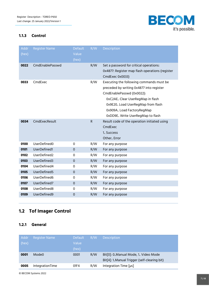

### <span id="page-6-0"></span>**1.1.3 Control**

| <b>Addr</b><br>(hex) | <b>Register Name</b> | <b>Default</b><br>Value | R/W          | <b>Description</b>                                                                                                                                                                                                                                           |
|----------------------|----------------------|-------------------------|--------------|--------------------------------------------------------------------------------------------------------------------------------------------------------------------------------------------------------------------------------------------------------------|
|                      |                      | (hex)                   |              |                                                                                                                                                                                                                                                              |
| 0022                 | CmdEnablePasswd      |                         | R/W          | Set a password for critical operations:<br>0x4877: Register map flash operations (register<br>CmdExec 0x0033)                                                                                                                                                |
| 0033                 | CmdExec              |                         | R/W          | Executing the following commands must be<br>preceded by writing 0x4877 into register<br>CmdEnablePasswd (0x0022):<br>OxC2AE Clear UserRegMap in flash<br>0x9E20. Load UserRegMap from flash<br>0x909A Load FactoryRegMap<br>0xDD9E Write UserRegMap to flash |
| 0034                 | CmdExecResult        |                         | $\mathsf{R}$ | Result code of the operation initiated using<br>CmdExec<br>1. Success<br>Other Error                                                                                                                                                                         |
| 0100                 | UserDefined0         | $\Omega$                | R/W          | For any purpose                                                                                                                                                                                                                                              |
| 0101                 | UserDefined1         | $\mathbf 0$             | R/W          | For any purpose                                                                                                                                                                                                                                              |
| 0102                 | UserDefined2         | 0                       | R/W          | For any purpose                                                                                                                                                                                                                                              |
| 0103                 | UserDefined3         | $\Omega$                | R/W          | For any purpose                                                                                                                                                                                                                                              |
| 0104                 | UserDefined4         | 0                       | R/W          | For any purpose                                                                                                                                                                                                                                              |
| 0105                 | UserDefined5         | $\mathsf{O}\xspace$     | R/W          | For any purpose                                                                                                                                                                                                                                              |
| 0106                 | UserDefined6         | $\Omega$                | R/W          | For any purpose                                                                                                                                                                                                                                              |
| 0107                 | UserDefined7         | $\mathbf 0$             | R/W          | For any purpose                                                                                                                                                                                                                                              |
| 0108                 | UserDefined8         | $\Omega$                | R/W          | For any purpose                                                                                                                                                                                                                                              |
| 0109                 | UserDefined9         | $\mathbf 0$             | R/W          | For any purpose                                                                                                                                                                                                                                              |

## <span id="page-6-1"></span>**1.2 Tof Imager Control**

### <span id="page-6-2"></span>**1.2.1 General**

| Addr<br>(hex) | <b>Register Name</b> | <b>Default</b><br>Value<br>(hex) | R/W | <b>Description</b>                                                                     |
|---------------|----------------------|----------------------------------|-----|----------------------------------------------------------------------------------------|
| 0001          | Mode <sub>0</sub>    | 0001                             | R/W | Bit[0]: 0. Manual Mode, 1. Video Mode<br>Bit[4]: 1. Manual Trigger (self-clearing bit) |
| 0005          | IntegrationTime      | 01F4                             | R/W | Integration Time [µs]                                                                  |

© BECOM Systems 2022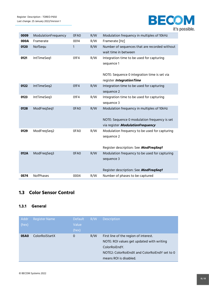

| 0009 | ModulationFrequency | 0FA0 | R/W | Modulation frequency in multiples of 10kHz    |
|------|---------------------|------|-----|-----------------------------------------------|
| 000A | Framerate           | 0014 | R/W | Framerate [Hz]                                |
| 0120 | NofSequ             | 1    | R/W | Number of sequences that are recorded without |
|      |                     |      |     | wait time in between                          |
| 0121 | IntTimeSeq1         | 01F4 | R/W | Integration time to be used for capturing     |
|      |                     |      |     | sequence 1                                    |
|      |                     |      |     |                                               |
|      |                     |      |     | NOTE: Sequence 0 integration time is set via  |
|      |                     |      |     | register Integration Time                     |
| 0122 | IntTimeSeq2         | 01F4 | R/W | Integration time to be used for capturing     |
|      |                     |      |     | sequence 2                                    |
| 0123 | IntTimeSeq3         | 01F4 | R/W | Integration time to be used for capturing     |
|      |                     |      |     | sequence 3                                    |
| 0128 | ModFreqSeq1         | 0FA0 | R/W | Modulation frequency in multiples of 10kHz    |
|      |                     |      |     |                                               |
|      |                     |      |     | NOTE: Sequence 0 modulation frequency is set  |
|      |                     |      |     | via register ModulationFrequency              |
| 0129 | ModFreqSeq2         | 0FA0 | R/W | Modulation frequency to be used for capturing |
|      |                     |      |     | sequence 2                                    |
|      |                     |      |     |                                               |
|      |                     |      |     | Register description: See ModFregSeg1         |
| 012A | ModFreqSeq3         | 0FA0 | R/W | Modulation frequency to be used for capturing |
|      |                     |      |     | sequence 3                                    |
|      |                     |      |     |                                               |
|      |                     |      |     | Register description: See ModFreqSeq1         |
| 0574 | NofPhases           | 0004 | R/W | Number of phases to be captured               |

## <span id="page-7-0"></span>**1.3 Color Sensor Control**

#### <span id="page-7-1"></span>**1.3.1 General**

| Addr<br>(hex) | <b>Register Name</b> | <b>Default</b><br>Value<br>(hex) | R/W | <b>Description</b>                                                                                                                                                             |
|---------------|----------------------|----------------------------------|-----|--------------------------------------------------------------------------------------------------------------------------------------------------------------------------------|
| 05A0          | ColorRoiStartX       | $\Omega$                         | R/W | First line of the region of interest.<br>NOTE: ROI values get updated with writing<br>ColorRoiEndY.<br>NOTE2: ColorRoiEndX and ColorRoiEndY set to 0<br>means ROI is disabled. |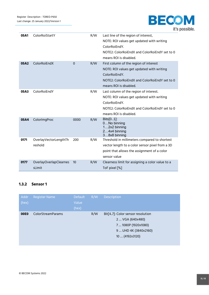

| 05A1 | ColorRoiStartY                   |          | R/W | Last line of the region of interest,<br>NOTE: ROI values get updated with writing<br>ColorRoiEndY.<br>NOTE2: ColorRoiEndX and ColorRoiEndY set to 0<br>means ROI is disabled.   |
|------|----------------------------------|----------|-----|---------------------------------------------------------------------------------------------------------------------------------------------------------------------------------|
| 05A2 | ColorRoiEndX                     | $\Omega$ | R/W | First column of the region of interest<br>NOTE: ROI values get updated with writing<br>ColorRoiEndY.<br>NOTE2: ColorRoiEndX and ColorRoiEndY set to 0<br>means ROI is disabled. |
| 05A3 | ColorRoiEndY                     |          | R/W | Last column of the region of interest.<br>NOTE: ROI values get updated with writing<br>ColorRoiFndY.<br>NOTE2: ColorRoiEndX and ColorRoiEndY set to 0<br>means ROI is disabled. |
| 05A4 | ColorImgProc                     | 0000     | R/W | $Dist[01]$ :<br>0No binning<br>$12x2$ binning<br>24x4 binning<br>38x8 binning                                                                                                   |
| 0171 | OverlayVectorLengthTh<br>reshold | 200      | R/W | Threshold in millimeters compared to shortest<br>vector length to a color sensor pixel from a 3D<br>point that allows the assignment of a color<br>sensor value                 |
| 0177 | OverlayOverlapClearnes<br>sLimit | 10       | R/W | Clearness limit for assigning a color value to a<br>ToF pixel [%]                                                                                                               |

## <span id="page-8-0"></span>**1.3.2 Sensor 1**

| Addr<br>(hex) | <b>Register Name</b>     | <b>Default</b><br>Value<br>(hex) | R/W | <b>Description</b>                                                                                                       |
|---------------|--------------------------|----------------------------------|-----|--------------------------------------------------------------------------------------------------------------------------|
| <b>00E0</b>   | <b>ColorStreamParams</b> |                                  | R/W | Bit[4.7]: Color sensor resolution<br>2 VGA (640x480)<br>7  1080P (1920x1080)<br>9  UHD 4K (3840x2160)<br>10  (4192x3120) |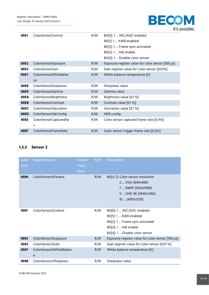

| 00E1        | <b>ColorSensorControl</b>   | R/W | Bit[0]: 1 AEC/AGC enabled                         |
|-------------|-----------------------------|-----|---------------------------------------------------|
|             |                             |     | Bit[1]: 1  AWB enabled                            |
|             |                             |     | Bit[2]: 1 Frame sync activated                    |
|             |                             |     | Bit[3]: 1 Hdr enable                              |
|             |                             |     | Bit[4]: 1 Disable color sensor                    |
| 00E2        | ColorSensorExposure         | R/W | Exposure register value for color sensor [100 µs] |
| 00E3        | ColorSensorGain             | R/W | Gain register value for color sensor [0.01%]      |
| 00E7        | ColorSensorWhiteBalan       | R/W | White balance temperature [K]                     |
|             | ce                          |     |                                                   |
| 00E8        | <b>ColorSensorSharpness</b> | R/W | Sharpness value                                   |
| 00E9        | ColorSensorGamma            | R/W | Gamma value                                       |
| 00EA        | ColorSensorBrightness       | R/W | Brightness value [0.1 %]                          |
| 00EB        | ColorSensorContrast         | R/W | Contrast value [0.1 %]                            |
| 00EC        | ColorSensorSaturation       | R/W | Saturation value [0.1 %]                          |
| 00ED        | ColorSensorHdrConfig        | R/W | HDR config                                        |
| <b>OOEE</b> | ColorSensorCapturedFp       | R/W | Color sensor captured frame rate [0,1Hz]          |
|             | S                           |     |                                                   |
| <b>OOEF</b> | ColorSensorFrameRate        | R/W | Color sensor trigger frame rate [0,1Hz]           |

## <span id="page-9-0"></span>**1.3.3 Sensor 2**

| Addr<br>(hex) | <b>Register Name</b>         | <b>Default</b><br>Value<br>(hex) | R/W | Description                                                                                                                                     |
|---------------|------------------------------|----------------------------------|-----|-------------------------------------------------------------------------------------------------------------------------------------------------|
| 0590          | ColorStream2Params           |                                  | R/W | Bit[4.7]: Color sensor resolution<br>2 VGA (640x480)<br>71080P (1920x1080)<br>9  UHD 4K (3840x2160)<br>10  (4192x3120)                          |
| 0591          | ColorSensor2Control          |                                  | R/W | Bit[0]: 1 AEC/AGC enabled<br>Bit[1]: 1 AWB enabled<br>Bit[2]: 1 Frame sync activated<br>Bit[3]: 1 Hdr enable<br>Bit[4]: 1  Disable color sensor |
| 0592          | ColorSensor2Exposure         |                                  | R/W | Exposure register value for color sensor [100 µs]                                                                                               |
| 0593          | ColorSensor2Gain             |                                  | R/W | Gain register value for color sensor [0.01 %]                                                                                                   |
| 0597          | ColorSensor2WhiteBalanc<br>e |                                  | R/W | White balance temperature [K]                                                                                                                   |
| 0598          | ColorSensor2Sharpness        |                                  | R/W | Sharpness value                                                                                                                                 |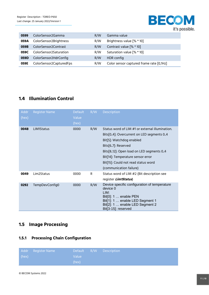

| 0599 | ColorSensor2Gamma       | R/W | Gamma value                              |
|------|-------------------------|-----|------------------------------------------|
| 059A | ColorSensor2Brightness  | R/W | Brightness value [% * 10]                |
| 059B | ColorSensor2Contrast    | R/W | Contrast value [% * 10]                  |
| 059C | ColorSensor2Saturation  | R/W | Saturation value [% * 10]                |
| 059D | ColorSensor2HdrConfig   | R/W | HDR config                               |
| 059E | ColorSensor2CapturedFps | R/W | Color sensor captured frame rate [0,1Hz] |

## <span id="page-10-0"></span>**1.4 Illumination Control**

| Addr<br>(hex) | <b>Register Name</b> | <b>Default</b><br>Value<br>(hex) | R/W | <b>Description</b>                                                                                                                                                                                                                                                                                |
|---------------|----------------------|----------------------------------|-----|---------------------------------------------------------------------------------------------------------------------------------------------------------------------------------------------------------------------------------------------------------------------------------------------------|
| 0048          | LIM1Status           | 0000                             | R/W | Status word of LIM #1 or external illumination.<br>Bits[0.4]: Overcurrent on LED segments 0.4<br>Bit[5]: Watchdog enabled<br>Bits[67]: Reserved<br>Bits[812]: Open load on LED segments 04<br>Bit[14]: Temperature sensor error<br>Bit[15]: Could not read status word<br>(communication failure) |
| 0049          | Lim2Status           | 0000                             | R   | Status word of LIM #2 (Bit description see<br>register Lim1Status)                                                                                                                                                                                                                                |
| 0292          | TempDevConfig0       | 0000                             | R/W | Device specific configuration of temperature<br>device 0<br>LIM:<br>Bit[0]: 1  enable PEN<br>Bit[1]: 1  enable LED Segment 1<br>Bit[2]: 1  enable LED Segment 2<br>Bit[3-15]: reserved                                                                                                            |

## <span id="page-10-1"></span>**1.5 Image Processing**

## <span id="page-10-2"></span>**1.5.1 Processing Chain Configuration**

|       | Addr Register Name |       | Default R/W Description |
|-------|--------------------|-------|-------------------------|
| (hex) |                    | Value |                         |
|       |                    | (hex) |                         |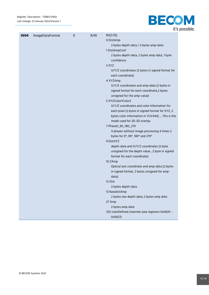

| 0004 | ImageDataFormat | $\mathbf 0$ | R/W | Bit[3:10]:                                       |
|------|-----------------|-------------|-----|--------------------------------------------------|
|      |                 |             |     | 0 DistAmp                                        |
|      |                 |             |     | 2 bytes depth-data / 2 bytes amp-data            |
|      |                 |             |     | 1DistAmpConf                                     |
|      |                 |             |     | 2 bytes depth-data, 2 bytes amp-data, 1 byte     |
|      |                 |             |     | confidence                                       |
|      |                 |             |     | 3 XYZ                                            |
|      |                 |             |     | X/Y/Z coordinates (2 bytes in signed format for  |
|      |                 |             |     | each coordinate)                                 |
|      |                 |             |     | 4 XYZAmp                                         |
|      |                 |             |     | X/Y/Z coordinates and amp-data (2 bytes in       |
|      |                 |             |     | signed format for each coordinate,2 bytes        |
|      |                 |             |     | unsigned for the amp value)                      |
|      |                 |             |     | 5 XYZColor1Color2                                |
|      |                 |             |     | X/Y/Z coordinates and color Information for      |
|      |                 |             |     | each pixel (2 bytes in signed format for XYZ, 2  |
|      |                 |             |     | bytes color information in YUV444)  This is the  |
|      |                 |             |     | mode used for 2D-3D overlay                      |
|      |                 |             |     | 7 Phase0_90_180_270                              |
|      |                 |             |     | 4 phases without image processing 4 times 2      |
|      |                 |             |     | bytes for 0°, 90°, 180° and 270°<br>9 DistXYZ    |
|      |                 |             |     | depth-data and X/Y/Z coordinates (2 byte         |
|      |                 |             |     | unsigned for the depth value, 2 byte in signed   |
|      |                 |             |     | format for each coordinate)                      |
|      |                 |             |     | 10 ZAmp                                          |
|      |                 |             |     | Optical axis coordinate and amp-data (2 bytes    |
|      |                 |             |     | in signed format, 2 bytes unsigned for amp-      |
|      |                 |             |     | data)                                            |
|      |                 |             |     | 12 Dist                                          |
|      |                 |             |     | 2 bytes depth-data                               |
|      |                 |             |     | 13 RawdistAmp                                    |
|      |                 |             |     | 2 bytes raw depth data; 2 bytes amp data         |
|      |                 |             |     | 27 Amp                                           |
|      |                 |             |     | 2 bytes amp data                                 |
|      |                 |             |     | 255 UserDefined channels (see registers 0x0620 - |
|      |                 |             |     | 0x0627)                                          |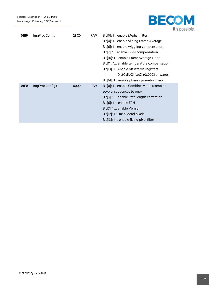

| 01E0             | <b>ImgProcConfig</b> | 28C0 | R/W | Bit <sup>[0]</sup> : 1 enable Median filter |
|------------------|----------------------|------|-----|---------------------------------------------|
|                  |                      |      |     | Bit[4]: 1 enable Sliding Frame Average      |
|                  |                      |      |     | Bit[6]: 1 enable wiggling compensation      |
|                  |                      |      |     | Bit[7]: 1 enable FPPN compensation          |
|                  |                      |      |     | Bit[10]: 1 enable FrameAverage Filter       |
|                  |                      |      |     | Bit[11]: 1 enable temperature compensation  |
|                  |                      |      |     | Bit[13]: 1 enable offsets via registers     |
|                  |                      |      |     | DistCalibOffsetX (0x00C1 onwards)           |
|                  |                      |      |     | Bit[14]: 1 enable phase symmetry check      |
| 01F <sub>0</sub> | ImgProcConfig3       | 0000 | R/W | Bit[0]: 1 enable Combine Mode (combine      |
|                  |                      |      |     | several sequences to one)                   |
|                  |                      |      |     | Bit[3]: 1 enable Path length correction     |
|                  |                      |      |     | $Bit[6]: 1$ enable FPN                      |
|                  |                      |      |     | Bit[7]: 1 enable Vernier                    |
|                  |                      |      |     | Bit[12]: 1  mark dead pixels                |
|                  |                      |      |     | Bit[13]: 1 enable flying pixel filter       |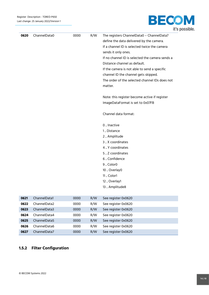

| 0620 | ChannelData0 | 0000 | R/W | The registers ChannelData0 - ChannelData7       |
|------|--------------|------|-----|-------------------------------------------------|
|      |              |      |     | define the data delivered by the camera.        |
|      |              |      |     | If a channel ID is selected twice the camera    |
|      |              |      |     | sends it only ones.                             |
|      |              |      |     | If no channel ID is selected the camera sends a |
|      |              |      |     | Distance channel as default.                    |
|      |              |      |     | If the camera is not able to send a specific    |
|      |              |      |     | channel ID the channel gets skipped.            |
|      |              |      |     | The order of the selected channel IDs does not  |
|      |              |      |     | matter.                                         |
|      |              |      |     |                                                 |
|      |              |      |     | Note: this register become active if register   |
|      |              |      |     | ImageDataFormat is set to 0x07FB                |
|      |              |      |     |                                                 |
|      |              |      |     | Channel data format:                            |
|      |              |      |     |                                                 |
|      |              |      |     | 0  Inactive                                     |
|      |              |      |     | 1. Distance                                     |
|      |              |      |     | 2. Amplitude                                    |
|      |              |      |     | 3  X coordinates                                |
|      |              |      |     | 4  Y coordinates                                |
|      |              |      |     | 5  Z coordinates                                |
|      |              |      |     | 6. Confidence                                   |
|      |              |      |     | 9  Color0                                       |
|      |              |      |     | 10 . Overlay0                                   |
|      |              |      |     | 11  Color1                                      |
|      |              |      |     | 12  Overlay1                                    |
|      |              |      |     | 13  Amplitude8                                  |
|      |              |      |     |                                                 |
| 0621 | ChannelData1 | 0000 | R/W | See register 0x0620                             |
| 0622 | ChannelData2 | 0000 | R/W | See register 0x0620                             |
| 0623 | ChannelData3 | 0000 | R/W | See register 0x0620                             |
| 0624 | ChannelData4 | 0000 | R/W | See register 0x0620                             |
| 0625 | ChannelData5 | 0000 | R/W | See register 0x0620                             |
| 0626 | ChannelData6 | 0000 | R/W | See register 0x0620                             |
| 0627 | ChannelData7 | 0000 | R/W | See register 0x0620                             |

## <span id="page-13-0"></span>**1.5.2 Filter Configuration**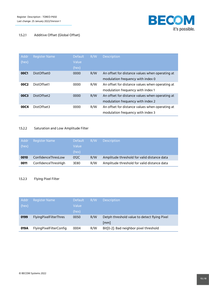

## 1.5.2.1 Additive Offset (Global Offset)

| Addr<br>(hex)    | <b>Register Name</b> | <b>Default</b><br>Value<br>(hex) | R/W | <b>Description</b>                                                                   |
|------------------|----------------------|----------------------------------|-----|--------------------------------------------------------------------------------------|
| 00C1             | DistOffset0          | 0000                             | R/W | An offset for distance values when operating at<br>modulation frequency with index 0 |
| 00C <sub>2</sub> | DistOffset1          | 0000                             | R/W | An offset for distance values when operating at<br>modulation frequency with index 1 |
| 00C3             | DistOffset2          | 0000                             | R/W | An offset for distance values when operating at<br>modulation frequency with index 2 |
| 00C4             | DistOffset3          | 0000                             | R/W | An offset for distance values when operating at<br>modulation frequency with index 3 |

#### 1.5.2.2 Saturation and Low Amplitude Filter

| Addr<br>(hex) | <b>Register Name</b> | <b>Default</b><br>Value<br>(hex) | R/W | <b>Description</b>                          |
|---------------|----------------------|----------------------------------|-----|---------------------------------------------|
| 0010          | ConfidenceThresLow   | 012C                             | R/W | Amplitude threshold for valid distance data |
| 0011          | ConfidenceThresHigh  | 3E80                             | R/W | Amplitude threshold for valid distance data |

#### 1.5.2.3 Flying Pixel Filter

| Addr<br>(hex) | <b>Register Name</b>           | <b>Default</b><br>Value<br>(hex) | R/W | <b>Description</b>                                                 |
|---------------|--------------------------------|----------------------------------|-----|--------------------------------------------------------------------|
| 0199          | <b>FlyingPixelFilterThres</b>  | 0050                             | R/W | Detph threshold value to detect flying Pixel<br>$\lceil mm \rceil$ |
| 019A          | <b>FlyingPixelFilterConfig</b> | 0004                             | R/W | Bit[0-2]: Bad neighbor pixel threshold                             |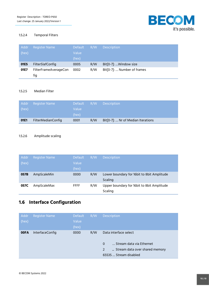

#### 1.5.2.4 Temporal Filters

| Addr<br>(hex) | Register Name                | <b>Default</b><br>Value | R/W | <b>Description</b>          |
|---------------|------------------------------|-------------------------|-----|-----------------------------|
|               |                              | (hex)                   |     |                             |
| 01E5          | <b>FilterSlafConfig</b>      | 0005                    | R/W | Bit[0-7]:  Window size      |
| 01E7          | FilterFrameAverageCon<br>fig | 0002                    | R/W | Bit[0-7]:  Number of frames |

#### 1.5.2.5 Median Filter

| Addr  | <b>Register Name</b>      | 'Default | R/W | <b>Description</b>                 |
|-------|---------------------------|----------|-----|------------------------------------|
| (hex) |                           | Value    |     |                                    |
|       |                           | (hex)    |     |                                    |
| 01E1  | <b>FilterMedianConfig</b> | 0001     | R/W | Bit[0-7]:  Nr of Median Iterations |

#### 1.5.2.6 Amplitude scaling

| Addr  | <b>Register Name</b> | <b>Default</b> | R/W | <b>Description</b>                           |
|-------|----------------------|----------------|-----|----------------------------------------------|
| (hex) |                      | Value          |     |                                              |
|       |                      | (hex)          |     |                                              |
| 057B  | AmpScaleMin          | 0000           | R/W | Lower boundary for 16 bit to 8 bit Amplitude |
|       |                      |                |     | Scaling                                      |
| 057C  | AmpScaleMax          | <b>FFFF</b>    | R/W | Upper boundary for 16bit to 8bit Amplitude   |
|       |                      |                |     | Scaling                                      |

## <span id="page-15-0"></span>**1.6 Interface Configuration**

| Addr<br>(hex) | <b>Register Name</b> | <b>Default</b><br>Value<br>(hex) | R/W | <b>Description</b>                                                                                                             |
|---------------|----------------------|----------------------------------|-----|--------------------------------------------------------------------------------------------------------------------------------|
| 00FA          | InterfaceConfig      | 0000                             | R/W | Data interface select<br>Stream data via Ethernet<br>$\Omega$<br>2<br>Stream data over shared memory<br>65535  Stream disabled |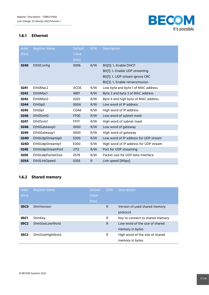

#### <span id="page-16-0"></span>**1.6.1 Ethernet**

| Addr  | <b>Register Name</b> | <b>Default</b>   | R/W         | <b>Description</b>                     |
|-------|----------------------|------------------|-------------|----------------------------------------|
| (hex) |                      | Value            |             |                                        |
|       |                      | (hex)            |             |                                        |
| 0240  | <b>Eth0Config</b>    | 0006             | R/W         | Bit[0]: 1 Enable DHCP                  |
|       |                      |                  |             | Bit[1]: 1. Enable UDP streaming        |
|       |                      |                  |             | Bit[1]: 1 UDP stream ignore CRC        |
|       |                      |                  |             | Bit[3]: 1 Enable retransmission        |
| 0241  | Eth0Mac2             | <b>ACDE</b>      | R/W         | Low byte and byte 1 of MAC address     |
| 0242  | Eth0Mac1             | 4801             | R/W         | Byte 2 and byte 3 of MAC address       |
| 0243  | Eth0Mac0             | 0203             | R/W         | Byte 4 and high byte of MAC address    |
| 0244  | Eth0lp0              | 000A             | R/W         | Low word of IP address                 |
| 0245  | Eth0lp1              | C0A8             | R/W         | High word of IP address                |
| 0246  | Eth0Snm0             | FF <sub>00</sub> | R/W         | Low word of subnet mask                |
| 0247  | Eth0Snm1             | <b>FFFF</b>      | R/W         | High word of subnet mask               |
| 0248  | Eth0Gateway0         | 0000             | R/W         | Low word of gateway                    |
| 0249  | Eth0Gateway1         | 0000             | R/W         | High word of gateway                   |
| 024D  | Eth0UdpStreamIp0     | E000             | R/W         | Low word of IP address for UDP stream  |
| 024D  | Eth0UdpStreamlp1     | E000             | R/W         | High word of IP address for UDP stream |
| 024E  | Eth0UdpStreamPort    | 2712             | R/W         | Port for UDP streaming                 |
| 0259  | Eth0UdpPacketSize    | 0578             | R/W         | Packet size for UDP data interface     |
| 025A  | <b>EthOLinkSpeed</b> | 03E8             | $\mathsf R$ | Link speed [Mbps]                      |

## <span id="page-16-1"></span>**1.6.2 Shared memory**

| Addr<br>(hex)    | <b>Register Name</b> | <b>Default</b><br>Value<br>(hex) | R/W | <b>Description</b>                                 |
|------------------|----------------------|----------------------------------|-----|----------------------------------------------------|
| 05C <sub>0</sub> | ShmVersion           |                                  | R   | Version of used shared memory<br>protocol          |
| 05C1             | ShmKey               |                                  | R   | Key to connect to shared memory                    |
| 05C <sub>2</sub> | ShmSizel ow Word     |                                  | R   | Low word of the size of shared<br>memory in bytes  |
| 05C3             | ShmSizeHighWord      |                                  | R   | High word of the size of shared<br>memory in bytes |